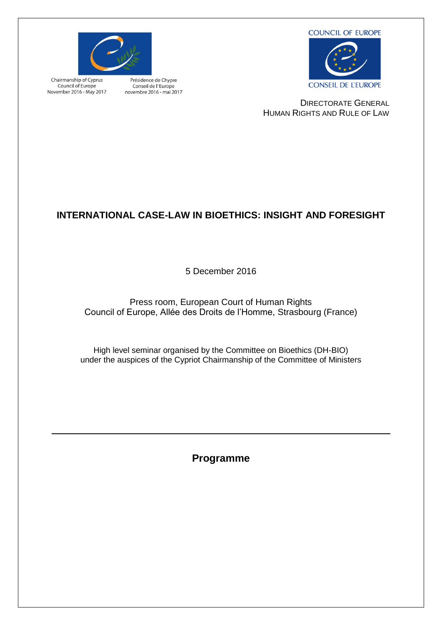**COUNCIL OF EUROPE** 



Chairmanship of Cyprus Council of Europe November 2016 - May 2017

Présidence de Chypre Conseil de l'Europe novembre 2016 - mai 2017



DIRECTORATE GENERAL HUMAN RIGHTS AND RULE OF LAW

# **INTERNATIONAL CASE-LAW IN BIOETHICS: INSIGHT AND FORESIGHT**

5 December 2016

Press room, European Court of Human Rights Council of Europe, Allée des Droits de l'Homme, Strasbourg (France)

High level seminar organised by the Committee on Bioethics (DH-BIO) under the auspices of the Cypriot Chairmanship of the Committee of Ministers

**Programme**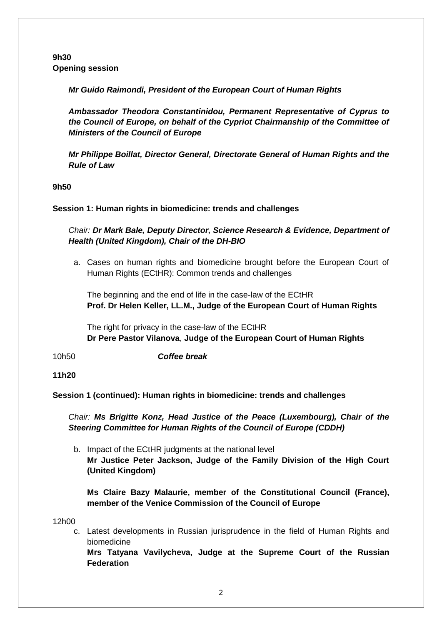#### **9h30 Opening session**

*Mr Guido Raimondi, President of the European Court of Human Rights*

*Ambassador Theodora Constantinidou, Permanent Representative of Cyprus to the Council of Europe, on behalf of the Cypriot Chairmanship of the Committee of Ministers of the Council of Europe*

*Mr Philippe Boillat, Director General, Directorate General of Human Rights and the Rule of Law* 

**9h50**

#### **Session 1: Human rights in biomedicine: trends and challenges**

#### *Chair: Dr Mark Bale, Deputy Director, Science Research & Evidence, Department of Health (United Kingdom), Chair of the DH-BIO*

a. Cases on human rights and biomedicine brought before the European Court of Human Rights (ECtHR): Common trends and challenges

The beginning and the end of life in the case-law of the ECtHR **Prof. Dr Helen Keller, LL.M., Judge of the European Court of Human Rights**

The right for privacy in the case-law of the ECtHR **Dr Pere Pastor Vilanova**, **Judge of the European Court of Human Rights**

10h50 *Coffee break*

**11h20**

**Session 1 (continued): Human rights in biomedicine: trends and challenges**

*Chair: Ms Brigitte Konz, Head Justice of the Peace (Luxembourg), Chair of the Steering Committee for Human Rights of the Council of Europe (CDDH)*

b. Impact of the ECtHR judgments at the national level **Mr Justice Peter Jackson, Judge of the Family Division of the High Court (United Kingdom)**

**Ms Claire Bazy Malaurie, member [of the Constitutional Council](http://www.conseil-constitutionnel.fr/conseil-constitutionnel/english/presentation/general-presentation/video-presentation-of-the-french-constitutionnal-council.138201.html) (France), member of the Venice Commission of the Council of Europe**

12h00

c. Latest developments in Russian jurisprudence in the field of Human Rights and biomedicine

**Mrs Tatyana Vavilycheva, Judge at the Supreme Court of the Russian Federation**